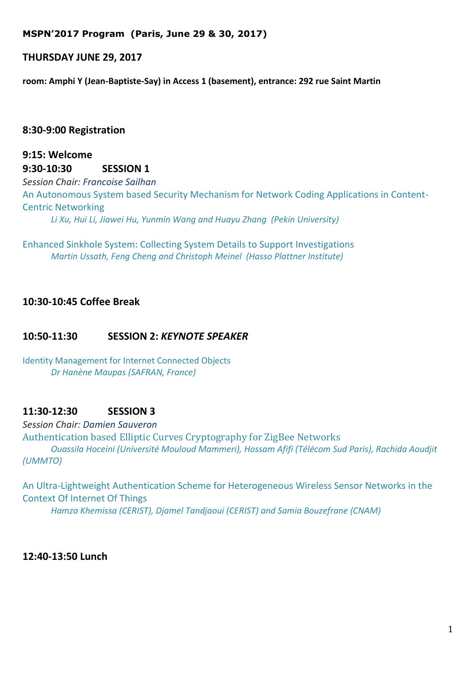### **MSPN'2017 Program (Paris, June 29 & 30, 2017)**

### **THURSDAY JUNE 29, 2017**

**room: Amphi Y (Jean-Baptiste-Say) in Access 1 (basement), entrance: 292 rue Saint Martin**

### **8:30-9:00 Registration**

**9:15: Welcome 9:30-10:30 SESSION 1**  *Session Chair: Francoise Sailhan* An Autonomous System based Security Mechanism for Network Coding Applications in Content-Centric Networking *Li Xu, Hui Li, Jiawei Hu, Yunmin Wang and Huayu Zhang (Pekin University)* 

Enhanced Sinkhole System: Collecting System Details to Support Investigations *Martin Ussath, Feng Cheng and Christoph Meinel (Hasso Plattner Institute)*

# **10:30-10:45 Coffee Break**

#### **10:50-11:30 SESSION 2:** *KEYNOTE SPEAKER*

Identity Management for Internet Connected Objects *Dr Hanène Maupas (SAFRAN, France)*

### **11:30-12:30 SESSION 3**

*Session Chair: Damien Sauveron* Authentication based Elliptic Curves Cryptography for ZigBee Networks *Ouassila Hoceini (Université Mouloud Mammeri), Hossam Afifi (Télécom Sud Paris), Rachida Aoudjit (UMMTO)* 

An Ultra-Lightweight Authentication Scheme for Heterogeneous Wireless Sensor Networks in the Context Of Internet Of Things *Hamza Khemissa (CERIST), Djamel Tandjaoui (CERIST) and Samia Bouzefrane (CNAM)*

**12:40-13:50 Lunch**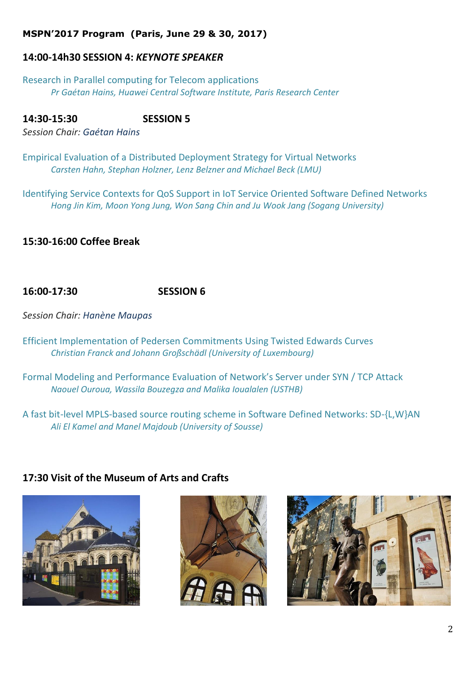## **MSPN'2017 Program (Paris, June 29 & 30, 2017)**

# **14:00-14h30 SESSION 4:** *KEYNOTE SPEAKER*

Research in Parallel computing for Telecom applications *Pr Gaétan Hains, Huawei Central Software Institute, Paris Research Center*

**14:30-15:30 SESSION 5**  *Session Chair: Gaétan Hains*

Empirical Evaluation of a Distributed Deployment Strategy for Virtual Networks *Carsten Hahn, Stephan Holzner, Lenz Belzner and Michael Beck (LMU)*

Identifying Service Contexts for QoS Support in IoT Service Oriented Software Defined Networks *Hong Jin Kim, Moon Yong Jung, Won Sang Chin and Ju Wook Jang (Sogang University)*

# **15:30-16:00 Coffee Break**

# **16:00-17:30 SESSION 6**

*Session Chair: Hanène Maupas*

Efficient Implementation of Pedersen Commitments Using Twisted Edwards Curves *Christian Franck and Johann Großschädl (University of Luxembourg)*

Formal Modeling and Performance Evaluation of Network's Server under SYN / TCP Attack *Naouel Ouroua, Wassila Bouzegza and Malika Ioualalen (USTHB)*

A fast bit-level MPLS-based source routing scheme in Software Defined Networks: SD-{L,W}AN *Ali El Kamel and Manel Majdoub (University of Sousse)*

# **17:30 Visit of the Museum of Arts and Crafts**





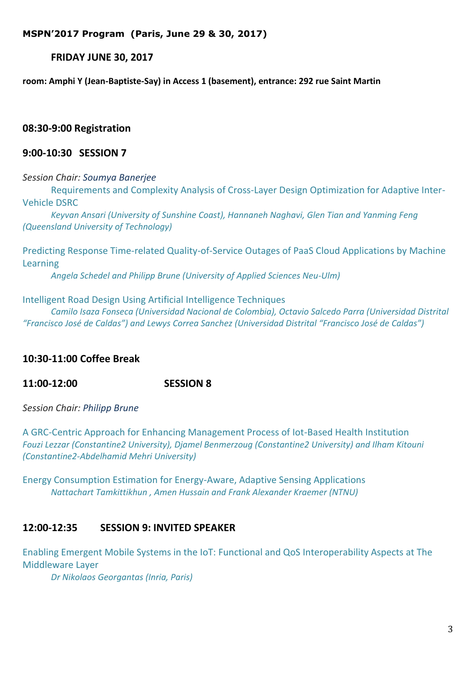**MSPN'2017 Program (Paris, June 29 & 30, 2017)**

**FRIDAY JUNE 30, 2017** 

**room: Amphi Y (Jean-Baptiste-Say) in Access 1 (basement), entrance: 292 rue Saint Martin**

**08:30-9:00 Registration**

## **9:00-10:30 SESSION 7**

*Session Chair: Soumya Banerjee*

Requirements and Complexity Analysis of Cross-Layer Design Optimization for Adaptive Inter-Vehicle DSRC

*Keyvan Ansari (University of Sunshine Coast), Hannaneh Naghavi, Glen Tian and Yanming Feng (Queensland University of Technology)*

Predicting Response Time-related Quality-of-Service Outages of PaaS Cloud Applications by Machine Learning

*Angela Schedel and Philipp Brune (University of Applied Sciences Neu-Ulm)*

#### Intelligent Road Design Using Artificial Intelligence Techniques

*Camilo Isaza Fonseca (Universidad Nacional de Colombia), Octavio Salcedo Parra (Universidad Distrital "Francisco José de Caldas") and Lewys Correa Sanchez (Universidad Distrital "Francisco José de Caldas")*

## **10:30-11:00 Coffee Break**

**11:00-12:00 SESSION 8**

*Session Chair: Philipp Brune*

A GRC-Centric Approach for Enhancing Management Process of Iot-Based Health Institution *Fouzi Lezzar (Constantine2 University), Djamel Benmerzoug (Constantine2 University) and Ilham Kitouni (Constantine2-Abdelhamid Mehri University)*

Energy Consumption Estimation for Energy-Aware, Adaptive Sensing Applications *Nattachart Tamkittikhun , Amen Hussain and Frank Alexander Kraemer (NTNU)*

## **12:00-12:35 SESSION 9: INVITED SPEAKER**

Enabling Emergent Mobile Systems in the IoT: Functional and QoS Interoperability Aspects at The Middleware Layer

*Dr Nikolaos Georgantas (Inria, Paris)*